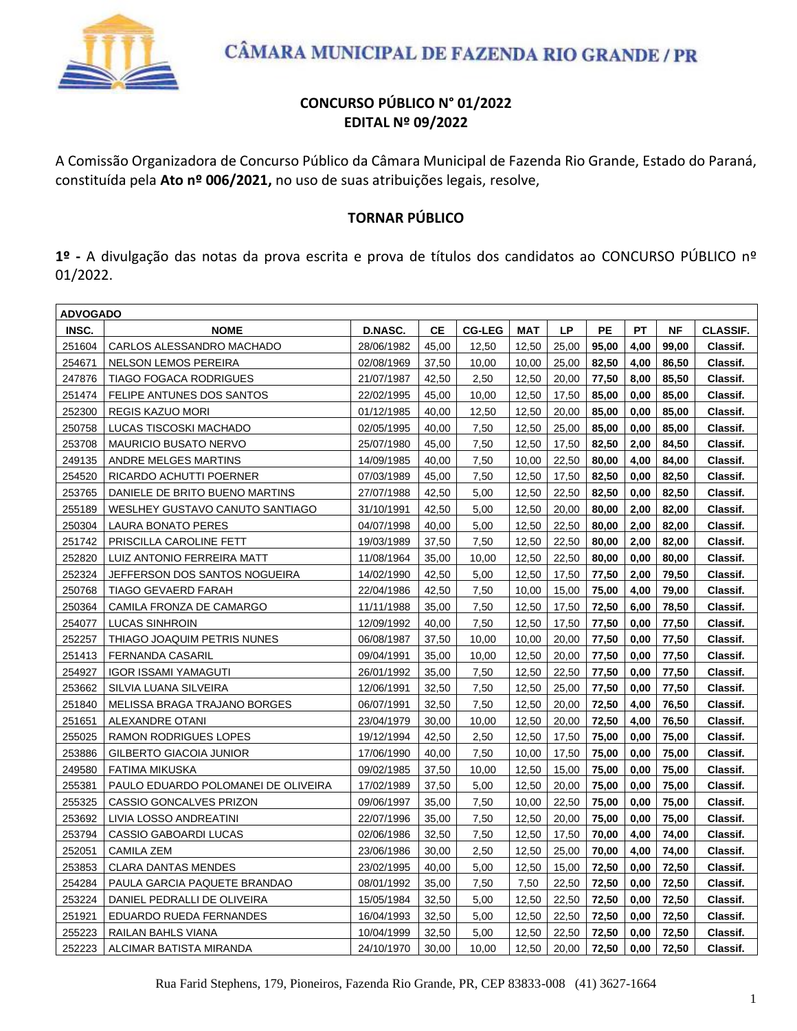

### **CONCURSO PÚBLICO N° 01/2022 EDITAL Nº 09/2022**

A Comissão Organizadora de Concurso Público da Câmara Municipal de Fazenda Rio Grande, Estado do Paraná, constituída pela **Ato nº 006/2021,** no uso de suas atribuições legais, resolve,

### **TORNAR PÚBLICO**

**1º -** A divulgação das notas da prova escrita e prova de títulos dos candidatos ao CONCURSO PÚBLICO nº 01/2022.

| <b>ADVOGADO</b> |                                     |            |           |               |            |       |           |           |           |                 |  |
|-----------------|-------------------------------------|------------|-----------|---------------|------------|-------|-----------|-----------|-----------|-----------------|--|
| INSC.           | <b>NOME</b>                         | D.NASC.    | <b>CE</b> | <b>CG-LEG</b> | <b>MAT</b> | LP    | <b>PE</b> | <b>PT</b> | <b>NF</b> | <b>CLASSIF.</b> |  |
| 251604          | CARLOS ALESSANDRO MACHADO           | 28/06/1982 | 45,00     | 12,50         | 12,50      | 25,00 | 95,00     | 4,00      | 99,00     | Classif.        |  |
| 254671          | NELSON LEMOS PEREIRA                | 02/08/1969 | 37,50     | 10,00         | 10,00      | 25,00 | 82,50     | 4,00      | 86,50     | Classif.        |  |
| 247876          | <b>TIAGO FOGACA RODRIGUES</b>       | 21/07/1987 | 42,50     | 2,50          | 12,50      | 20,00 | 77,50     | 8,00      | 85,50     | Classif.        |  |
| 251474          | FELIPE ANTUNES DOS SANTOS           | 22/02/1995 | 45,00     | 10,00         | 12,50      | 17.50 | 85,00     | 0.00      | 85.00     | Classif.        |  |
| 252300          | <b>REGIS KAZUO MORI</b>             | 01/12/1985 | 40,00     | 12,50         | 12,50      | 20,00 | 85,00     | 0,00      | 85,00     | Classif.        |  |
| 250758          | LUCAS TISCOSKI MACHADO              | 02/05/1995 | 40,00     | 7,50          | 12,50      | 25,00 | 85,00     | 0,00      | 85,00     | Classif.        |  |
| 253708          | <b>MAURICIO BUSATO NERVO</b>        | 25/07/1980 | 45,00     | 7,50          | 12,50      | 17,50 | 82,50     | 2,00      | 84,50     | Classif.        |  |
| 249135          | ANDRE MELGES MARTINS                | 14/09/1985 | 40,00     | 7,50          | 10,00      | 22,50 | 80,00     | 4,00      | 84,00     | Classif.        |  |
| 254520          | RICARDO ACHUTTI POERNER             | 07/03/1989 | 45,00     | 7,50          | 12,50      | 17,50 | 82,50     | 0,00      | 82,50     | Classif.        |  |
| 253765          | DANIELE DE BRITO BUENO MARTINS      | 27/07/1988 | 42,50     | 5,00          | 12,50      | 22,50 | 82,50     | 0,00      | 82,50     | Classif.        |  |
| 255189          | WESLHEY GUSTAVO CANUTO SANTIAGO     | 31/10/1991 | 42,50     | 5,00          | 12,50      | 20,00 | 80,00     | 2,00      | 82,00     | Classif.        |  |
| 250304          | LAURA BONATO PERES                  | 04/07/1998 | 40,00     | 5,00          | 12,50      | 22,50 | 80,00     | 2,00      | 82,00     | Classif.        |  |
| 251742          | PRISCILLA CAROLINE FETT             | 19/03/1989 | 37,50     | 7.50          | 12,50      | 22,50 | 80,00     | 2,00      | 82.00     | Classif.        |  |
| 252820          | LUIZ ANTONIO FERREIRA MATT          | 11/08/1964 | 35,00     | 10,00         | 12,50      | 22,50 | 80,00     | 0,00      | 80,00     | Classif.        |  |
| 252324          | JEFFERSON DOS SANTOS NOGUEIRA       | 14/02/1990 | 42,50     | 5,00          | 12,50      | 17,50 | 77,50     | 2,00      | 79,50     | Classif.        |  |
| 250768          | <b>TIAGO GEVAERD FARAH</b>          | 22/04/1986 | 42,50     | 7,50          | 10,00      | 15,00 | 75,00     | 4,00      | 79,00     | Classif.        |  |
| 250364          | CAMILA FRONZA DE CAMARGO            | 11/11/1988 | 35,00     | 7,50          | 12,50      | 17,50 | 72,50     | 6,00      | 78,50     | Classif.        |  |
| 254077          | <b>LUCAS SINHROIN</b>               | 12/09/1992 | 40,00     | 7,50          | 12,50      | 17,50 | 77,50     | 0,00      | 77,50     | Classif.        |  |
| 252257          | THIAGO JOAQUIM PETRIS NUNES         | 06/08/1987 | 37,50     | 10,00         | 10,00      | 20,00 | 77,50     | 0,00      | 77,50     | Classif.        |  |
| 251413          | <b>FERNANDA CASARIL</b>             | 09/04/1991 | 35,00     | 10,00         | 12,50      | 20,00 | 77,50     | 0,00      | 77,50     | Classif.        |  |
| 254927          | <b>IGOR ISSAMI YAMAGUTI</b>         | 26/01/1992 | 35,00     | 7,50          | 12,50      | 22,50 | 77,50     | 0,00      | 77,50     | Classif.        |  |
| 253662          | SILVIA LUANA SILVEIRA               | 12/06/1991 | 32,50     | 7,50          | 12,50      | 25,00 | 77,50     | 0,00      | 77,50     | Classif.        |  |
| 251840          | MELISSA BRAGA TRAJANO BORGES        | 06/07/1991 | 32,50     | 7,50          | 12,50      | 20,00 | 72,50     | 4,00      | 76,50     | Classif.        |  |
| 251651          | <b>ALEXANDRE OTANI</b>              | 23/04/1979 | 30,00     | 10,00         | 12,50      | 20,00 | 72,50     | 4,00      | 76,50     | Classif.        |  |
| 255025          | <b>RAMON RODRIGUES LOPES</b>        | 19/12/1994 | 42,50     | 2,50          | 12,50      | 17,50 | 75,00     | 0,00      | 75,00     | Classif.        |  |
| 253886          | GILBERTO GIACOIA JUNIOR             | 17/06/1990 | 40,00     | 7,50          | 10,00      | 17,50 | 75,00     | 0,00      | 75,00     | Classif.        |  |
| 249580          | FATIMA MIKUSKA                      | 09/02/1985 | 37,50     | 10,00         | 12,50      | 15,00 | 75,00     | 0,00      | 75,00     | Classif.        |  |
| 255381          | PAULO EDUARDO POLOMANEI DE OLIVEIRA | 17/02/1989 | 37,50     | 5,00          | 12,50      | 20,00 | 75,00     | 0,00      | 75,00     | Classif.        |  |
| 255325          | CASSIO GONCALVES PRIZON             | 09/06/1997 | 35,00     | 7,50          | 10,00      | 22,50 | 75,00     | 0,00      | 75,00     | Classif.        |  |
| 253692          | LIVIA LOSSO ANDREATINI              | 22/07/1996 | 35,00     | 7,50          | 12,50      | 20,00 | 75,00     | 0,00      | 75,00     | Classif.        |  |
| 253794          | CASSIO GABOARDI LUCAS               | 02/06/1986 | 32,50     | 7,50          | 12,50      | 17,50 | 70,00     | 4,00      | 74,00     | Classif.        |  |
| 252051          | <b>CAMILA ZEM</b>                   | 23/06/1986 | 30,00     | 2,50          | 12,50      | 25,00 | 70,00     | 4,00      | 74,00     | Classif.        |  |
| 253853          | <b>CLARA DANTAS MENDES</b>          | 23/02/1995 | 40,00     | 5,00          | 12,50      | 15,00 | 72,50     | 0,00      | 72,50     | Classif.        |  |
| 254284          | PAULA GARCIA PAQUETE BRANDAO        | 08/01/1992 | 35,00     | 7,50          | 7,50       | 22,50 | 72,50     | 0,00      | 72,50     | Classif.        |  |
| 253224          | DANIEL PEDRALLI DE OLIVEIRA         | 15/05/1984 | 32,50     | 5,00          | 12,50      | 22,50 | 72,50     | 0,00      | 72,50     | Classif.        |  |
| 251921          | EDUARDO RUEDA FERNANDES             | 16/04/1993 | 32,50     | 5,00          | 12,50      | 22,50 | 72,50     | 0,00      | 72,50     | Classif.        |  |
| 255223          | RAILAN BAHLS VIANA                  | 10/04/1999 | 32,50     | 5.00          | 12,50      | 22,50 | 72,50     | 0,00      | 72,50     | Classif.        |  |
| 252223          | ALCIMAR BATISTA MIRANDA             | 24/10/1970 | 30,00     | 10,00         | 12,50      | 20,00 | 72,50     | 0,00      | 72,50     | Classif.        |  |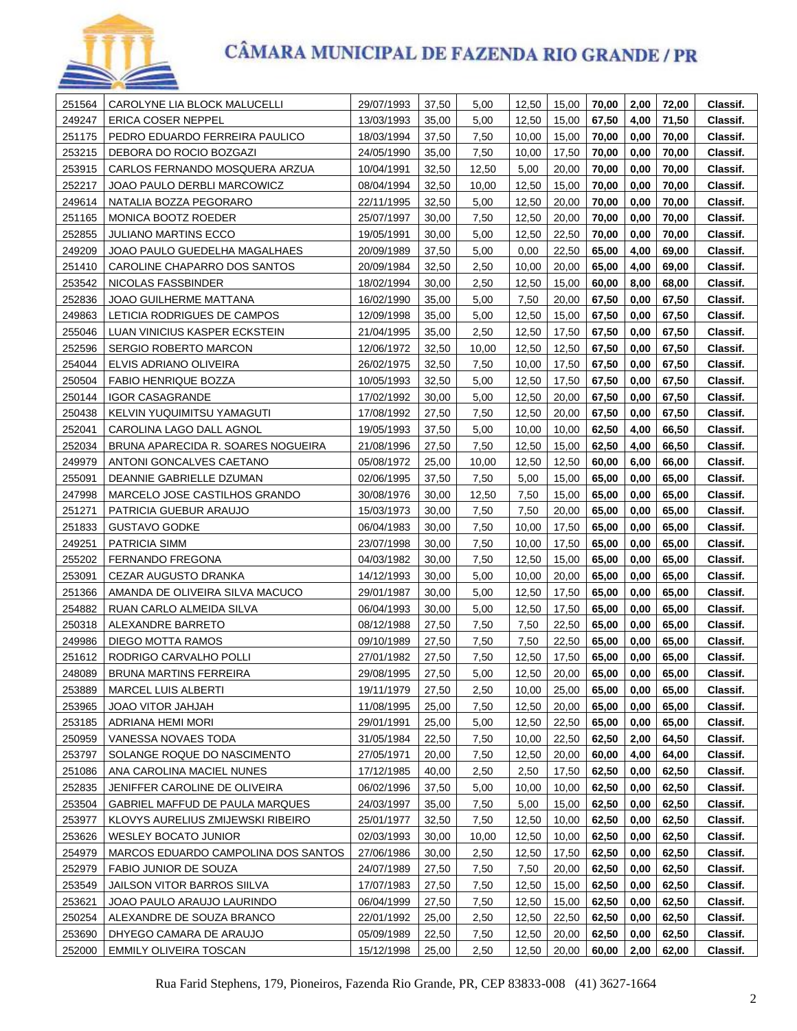

| 251564           | CAROLYNE LIA BLOCK MALUCELLI                           | 29/07/1993               | 37,50          | 5,00          | 12,50 | 15,00          | 70,00 | 2,00 | 72,00 | Classif. |
|------------------|--------------------------------------------------------|--------------------------|----------------|---------------|-------|----------------|-------|------|-------|----------|
| 249247           | ERICA COSER NEPPEL                                     | 13/03/1993               | 35,00          | 5,00          | 12,50 | 15,00          | 67,50 | 4,00 | 71,50 | Classif. |
| 251175           | PEDRO EDUARDO FERREIRA PAULICO                         | 18/03/1994               | 37,50          | 7,50          | 10,00 | 15,00          | 70,00 | 0,00 | 70,00 | Classif. |
| 253215           | DEBORA DO ROCIO BOZGAZI                                | 24/05/1990               | 35,00          | 7,50          | 10,00 | 17,50          | 70,00 | 0,00 | 70,00 | Classif. |
| 253915           | CARLOS FERNANDO MOSQUERA ARZUA                         | 10/04/1991               | 32,50          | 12,50         | 5,00  | 20,00          | 70,00 | 0,00 | 70,00 | Classif. |
| 252217           | JOAO PAULO DERBLI MARCOWICZ                            | 08/04/1994               | 32,50          | 10,00         | 12,50 | 15,00          | 70,00 | 0,00 | 70,00 | Classif. |
| 249614           | NATALIA BOZZA PEGORARO                                 | 22/11/1995               | 32,50          | 5,00          | 12,50 | 20,00          | 70,00 | 0,00 | 70,00 | Classif. |
| 251165           | MONICA BOOTZ ROEDER                                    | 25/07/1997               | 30,00          | 7,50          | 12,50 | 20,00          | 70,00 | 0,00 | 70,00 | Classif. |
| 252855           | <b>JULIANO MARTINS ECCO</b>                            | 19/05/1991               | 30,00          | 5,00          | 12,50 | 22,50          | 70,00 | 0,00 | 70,00 | Classif. |
| 249209           | JOAO PAULO GUEDELHA MAGALHAES                          | 20/09/1989               | 37,50          | 5,00          | 0,00  | 22,50          | 65,00 | 4,00 | 69,00 | Classif. |
| 251410           | CAROLINE CHAPARRO DOS SANTOS                           | 20/09/1984               | 32,50          | 2,50          | 10,00 | 20,00          | 65,00 | 4,00 | 69,00 | Classif. |
| 253542           | NICOLAS FASSBINDER                                     | 18/02/1994               | 30,00          | 2,50          | 12,50 | 15,00          | 60,00 | 8,00 | 68,00 | Classif. |
| 252836           | JOAO GUILHERME MATTANA                                 | 16/02/1990               | 35,00          | 5,00          | 7,50  | 20,00          | 67,50 | 0,00 | 67,50 | Classif. |
| 249863           | LETICIA RODRIGUES DE CAMPOS                            | 12/09/1998               | 35,00          | 5,00          | 12,50 | 15,00          | 67,50 | 0,00 | 67,50 | Classif. |
| 255046           |                                                        |                          |                |               | 12,50 |                | 67,50 | 0,00 | 67,50 |          |
|                  | LUAN VINICIUS KASPER ECKSTEIN<br>SERGIO ROBERTO MARCON | 21/04/1995               | 35,00          | 2,50<br>10,00 | 12,50 | 17,50          | 67,50 | 0,00 | 67,50 | Classif. |
| 252596<br>254044 | ELVIS ADRIANO OLIVEIRA                                 | 12/06/1972<br>26/02/1975 | 32,50<br>32,50 | 7,50          | 10,00 | 12,50<br>17,50 | 67,50 | 0,00 | 67,50 | Classif. |
|                  |                                                        |                          |                |               |       |                |       |      |       | Classif. |
| 250504           | <b>FABIO HENRIQUE BOZZA</b>                            | 10/05/1993               | 32,50          | 5,00          | 12,50 | 17,50          | 67,50 | 0,00 | 67,50 | Classif. |
| 250144           | <b>IGOR CASAGRANDE</b>                                 | 17/02/1992               | 30,00          | 5,00          | 12,50 | 20,00          | 67,50 | 0,00 | 67,50 | Classif. |
| 250438           | KELVIN YUQUIMITSU YAMAGUTI                             | 17/08/1992               | 27,50          | 7,50          | 12,50 | 20,00          | 67,50 | 0,00 | 67,50 | Classif. |
| 252041           | CAROLINA LAGO DALL AGNOL                               | 19/05/1993               | 37,50          | 5,00          | 10,00 | 10,00          | 62,50 | 4,00 | 66,50 | Classif. |
| 252034           | BRUNA APARECIDA R. SOARES NOGUEIRA                     | 21/08/1996               | 27,50          | 7,50          | 12,50 | 15,00          | 62,50 | 4,00 | 66,50 | Classif. |
| 249979           | ANTONI GONCALVES CAETANO                               | 05/08/1972               | 25,00          | 10,00         | 12,50 | 12,50          | 60,00 | 6,00 | 66,00 | Classif. |
| 255091           | DEANNIE GABRIELLE DZUMAN                               | 02/06/1995               | 37,50          | 7,50          | 5,00  | 15,00          | 65,00 | 0,00 | 65,00 | Classif. |
| 247998           | MARCELO JOSE CASTILHOS GRANDO                          | 30/08/1976               | 30,00          | 12,50         | 7,50  | 15,00          | 65,00 | 0,00 | 65,00 | Classif. |
| 251271           | PATRICIA GUEBUR ARAUJO                                 | 15/03/1973               | 30,00          | 7,50          | 7,50  | 20,00          | 65,00 | 0,00 | 65,00 | Classif. |
| 251833           | <b>GUSTAVO GODKE</b>                                   | 06/04/1983               | 30,00          | 7,50          | 10,00 | 17,50          | 65,00 | 0,00 | 65,00 | Classif. |
| 249251           | PATRICIA SIMM                                          | 23/07/1998               | 30,00          | 7,50          | 10,00 | 17,50          | 65,00 | 0,00 | 65,00 | Classif. |
| 255202           | <b>FERNANDO FREGONA</b>                                | 04/03/1982               | 30,00          | 7,50          | 12,50 | 15,00          | 65,00 | 0,00 | 65,00 | Classif. |
| 253091           | CEZAR AUGUSTO DRANKA                                   | 14/12/1993               | 30,00          | 5,00          | 10,00 | 20,00          | 65,00 | 0,00 | 65,00 | Classif. |
| 251366           | AMANDA DE OLIVEIRA SILVA MACUCO                        | 29/01/1987               | 30,00          | 5,00          | 12,50 | 17,50          | 65,00 | 0,00 | 65,00 | Classif. |
| 254882           | RUAN CARLO ALMEIDA SILVA                               | 06/04/1993               | 30,00          | 5,00          | 12,50 | 17,50          | 65,00 | 0,00 | 65,00 | Classif. |
| 250318           | ALEXANDRE BARRETO                                      | 08/12/1988               | 27,50          | 7,50          | 7,50  | 22,50          | 65,00 | 0,00 | 65,00 | Classif. |
| 249986           | DIEGO MOTTA RAMOS                                      | 09/10/1989               | 27,50          | 7,50          | 7,50  | 22,50          | 65,00 | 0,00 | 65,00 | Classif. |
| 251612           | RODRIGO CARVALHO POLLI                                 | 27/01/1982               | 27,50          | 7,50          | 12,50 | 17,50          | 65,00 | 0,00 | 65,00 | Classif. |
| 248089           | <b>BRUNA MARTINS FERREIRA</b>                          | 29/08/1995               | 27.50          | 5.00          | 12.50 | 20.00          | 65.00 | 0.00 | 65.00 | Classif. |
| 253889           | <b>MARCEL LUIS ALBERTI</b>                             | 19/11/1979               | 27,50          | 2,50          | 10,00 | 25,00          | 65,00 | 0,00 | 65,00 | Classif. |
| 253965           | JOAO VITOR JAHJAH                                      | 11/08/1995               | 25,00          | 7,50          | 12,50 | 20,00          | 65,00 | 0,00 | 65,00 | Classif. |
| 253185           | ADRIANA HEMI MORI                                      | 29/01/1991               | 25,00          | 5,00          | 12,50 | 22,50          | 65,00 | 0,00 | 65,00 | Classif. |
| 250959           | VANESSA NOVAES TODA                                    | 31/05/1984               | 22,50          | 7,50          | 10,00 | 22,50          | 62,50 | 2,00 | 64,50 | Classif. |
| 253797           | SOLANGE ROQUE DO NASCIMENTO                            | 27/05/1971               | 20,00          | 7,50          | 12,50 | 20,00          | 60,00 | 4,00 | 64,00 | Classif. |
| 251086           | ANA CAROLINA MACIEL NUNES                              | 17/12/1985               | 40,00          | 2,50          | 2,50  | 17,50          | 62,50 | 0,00 | 62,50 | Classif. |
| 252835           | JENIFFER CAROLINE DE OLIVEIRA                          | 06/02/1996               | 37,50          | 5,00          | 10,00 | 10,00          | 62,50 | 0,00 | 62,50 | Classif. |
| 253504           | GABRIEL MAFFUD DE PAULA MARQUES                        | 24/03/1997               | 35,00          | 7,50          | 5,00  | 15,00          | 62,50 | 0,00 | 62,50 | Classif. |
| 253977           | KLOVYS AURELIUS ZMIJEWSKI RIBEIRO                      | 25/01/1977               | 32,50          | 7,50          | 12,50 | 10,00          | 62,50 | 0,00 | 62,50 | Classif. |
| 253626           | WESLEY BOCATO JUNIOR                                   | 02/03/1993               | 30,00          | 10,00         | 12,50 | 10,00          | 62,50 | 0,00 | 62,50 | Classif. |
| 254979           | MARCOS EDUARDO CAMPOLINA DOS SANTOS                    | 27/06/1986               | 30,00          | 2,50          | 12,50 | 17,50          | 62,50 | 0,00 | 62,50 | Classif. |
| 252979           | FABIO JUNIOR DE SOUZA                                  | 24/07/1989               | 27,50          | 7,50          | 7,50  | 20,00          | 62,50 | 0,00 | 62,50 | Classif. |
| 253549           | JAILSON VITOR BARROS SIILVA                            | 17/07/1983               | 27,50          | 7,50          | 12,50 | 15,00          | 62,50 | 0,00 | 62,50 | Classif. |
| 253621           | JOAO PAULO ARAUJO LAURINDO                             | 06/04/1999               | 27,50          | 7,50          | 12,50 | 15,00          | 62,50 | 0,00 | 62,50 | Classif. |
| 250254           | ALEXANDRE DE SOUZA BRANCO                              | 22/01/1992               | 25,00          | 2,50          | 12,50 | 22,50          | 62,50 | 0,00 | 62,50 | Classif. |
| 253690           | DHYEGO CAMARA DE ARAUJO                                | 05/09/1989               | 22,50          | 7,50          | 12,50 | 20,00          | 62,50 | 0,00 | 62,50 | Classif. |
| 252000           | <b>EMMILY OLIVEIRA TOSCAN</b>                          | 15/12/1998               | 25,00          | 2,50          | 12,50 | 20,00          | 60,00 | 2,00 | 62,00 | Classif. |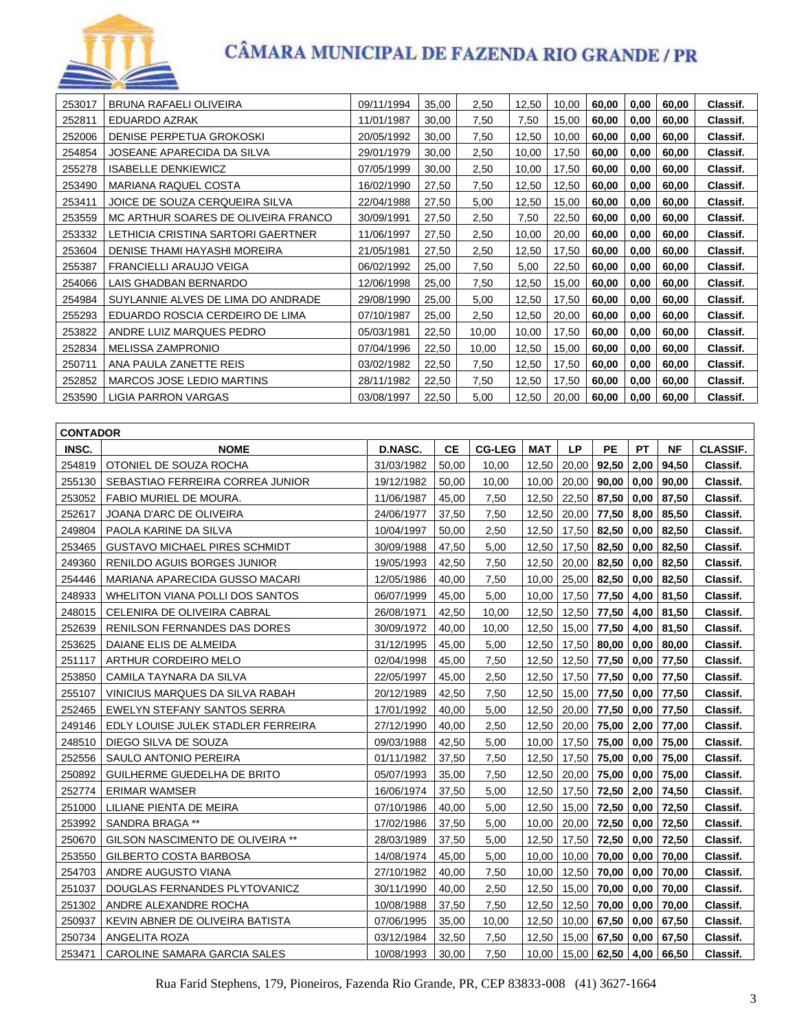

| 253017 | BRUNA RAFAELI OLIVEIRA              | 09/11/1994 | 35,00 | 2,50  | 12,50 | 10,00 | 60,00 | 0,00 | 60,00 | Classif. |
|--------|-------------------------------------|------------|-------|-------|-------|-------|-------|------|-------|----------|
| 252811 | EDUARDO AZRAK                       | 11/01/1987 | 30,00 | 7,50  | 7,50  | 15,00 | 60,00 | 0,00 | 60,00 | Classif. |
| 252006 | DENISE PERPETUA GROKOSKI            | 20/05/1992 | 30,00 | 7,50  | 12,50 | 10,00 | 60,00 | 0,00 | 60,00 | Classif. |
| 254854 | JOSEANE APARECIDA DA SILVA          | 29/01/1979 | 30,00 | 2,50  | 10,00 | 17,50 | 60,00 | 0,00 | 60,00 | Classif. |
| 255278 | <b>ISABELLE DENKIEWICZ</b>          | 07/05/1999 | 30,00 | 2,50  | 10,00 | 17,50 | 60,00 | 0,00 | 60,00 | Classif. |
| 253490 | <b>MARIANA RAQUEL COSTA</b>         | 16/02/1990 | 27.50 | 7,50  | 12.50 | 12.50 | 60.00 | 0,00 | 60,00 | Classif. |
| 253411 | JOICE DE SOUZA CERQUEIRA SILVA      | 22/04/1988 | 27,50 | 5,00  | 12,50 | 15,00 | 60,00 | 0,00 | 60,00 | Classif. |
| 253559 | MC ARTHUR SOARES DE OLIVEIRA FRANCO | 30/09/1991 | 27,50 | 2,50  | 7,50  | 22,50 | 60,00 | 0,00 | 60,00 | Classif. |
| 253332 | LETHICIA CRISTINA SARTORI GAERTNER  | 11/06/1997 | 27,50 | 2,50  | 10.00 | 20,00 | 60,00 | 0,00 | 60,00 | Classif. |
| 253604 | DENISE THAMI HAYASHI MOREIRA        | 21/05/1981 | 27,50 | 2,50  | 12,50 | 17,50 | 60,00 | 0,00 | 60,00 | Classif. |
| 255387 | <b>FRANCIELLI ARAUJO VEIGA</b>      | 06/02/1992 | 25,00 | 7,50  | 5,00  | 22,50 | 60,00 | 0,00 | 60,00 | Classif. |
| 254066 | LAIS GHADBAN BERNARDO               | 12/06/1998 | 25,00 | 7,50  | 12,50 | 15,00 | 60,00 | 0,00 | 60,00 | Classif. |
| 254984 | SUYLANNIE ALVES DE LIMA DO ANDRADE  | 29/08/1990 | 25,00 | 5,00  | 12,50 | 17,50 | 60,00 | 0,00 | 60,00 | Classif. |
| 255293 | EDUARDO ROSCIA CERDEIRO DE LIMA     | 07/10/1987 | 25,00 | 2,50  | 12,50 | 20,00 | 60,00 | 0,00 | 60,00 | Classif. |
| 253822 | ANDRE LUIZ MARQUES PEDRO            | 05/03/1981 | 22,50 | 10,00 | 10,00 | 17,50 | 60,00 | 0,00 | 60,00 | Classif. |
| 252834 | MELISSA ZAMPRONIO                   | 07/04/1996 | 22,50 | 10,00 | 12,50 | 15,00 | 60,00 | 0,00 | 60,00 | Classif. |
| 250711 | ANA PAULA ZANETTE REIS              | 03/02/1982 | 22,50 | 7,50  | 12,50 | 17,50 | 60,00 | 0,00 | 60,00 | Classif. |
| 252852 | <b>MARCOS JOSE LEDIO MARTINS</b>    | 28/11/1982 | 22,50 | 7,50  | 12,50 | 17,50 | 60,00 | 0,00 | 60,00 | Classif. |
| 253590 | LIGIA PARRON VARGAS                 | 03/08/1997 | 22,50 | 5,00  | 12,50 | 20,00 | 60,00 | 0,00 | 60,00 | Classif. |

| <b>CONTADOR</b> |                                      |            |           |               |            |           |                    |           |           |                 |
|-----------------|--------------------------------------|------------|-----------|---------------|------------|-----------|--------------------|-----------|-----------|-----------------|
| INSC.           | <b>NOME</b>                          | D.NASC.    | <b>CE</b> | <b>CG-LEG</b> | <b>MAT</b> | <b>LP</b> | <b>PE</b>          | <b>PT</b> | <b>NF</b> | <b>CLASSIF.</b> |
| 254819          | OTONIEL DE SOUZA ROCHA               | 31/03/1982 | 50,00     | 10,00         | 12,50      | 20,00     | 92,50              | 2,00      | 94,50     | Classif.        |
| 255130          | SEBASTIAO FERREIRA CORREA JUNIOR     | 19/12/1982 | 50,00     | 10,00         | 10,00      | 20,00     | 90,00              | 0,00      | 90.00     | Classif.        |
| 253052          | FABIO MURIEL DE MOURA.               | 11/06/1987 | 45,00     | 7,50          | 12,50      | 22,50     | 87,50              | 0,00      | 87,50     | Classif.        |
| 252617          | JOANA D'ARC DE OLIVEIRA              | 24/06/1977 | 37,50     | 7,50          | 12,50      | 20,00     | 77,50              | 8,00      | 85,50     | Classif.        |
| 249804          | PAOLA KARINE DA SILVA                | 10/04/1997 | 50,00     | 2,50          | 12,50      | 17,50     | 82,50              | 0,00      | 82,50     | Classif.        |
| 253465          | <b>GUSTAVO MICHAEL PIRES SCHMIDT</b> | 30/09/1988 | 47,50     | 5,00          | 12,50      | 17,50     | 82,50              | 0,00      | 82,50     | Classif.        |
| 249360          | <b>RENILDO AGUIS BORGES JUNIOR</b>   | 19/05/1993 | 42,50     | 7,50          | 12,50      | 20,00     | 82,50              | 0,00      | 82,50     | Classif.        |
| 254446          | MARIANA APARECIDA GUSSO MACARI       | 12/05/1986 | 40,00     | 7,50          | 10,00      | 25,00     | 82,50              | 0,00      | 82,50     | Classif.        |
| 248933          | WHELITON VIANA POLLI DOS SANTOS      | 06/07/1999 | 45,00     | 5,00          | 10,00      | 17,50     | 77,50              | 4,00      | 81,50     | Classif.        |
| 248015          | CELENIRA DE OLIVEIRA CABRAL          | 26/08/1971 | 42,50     | 10,00         | 12,50      | 12,50     | 77,50              | 4,00      | 81,50     | Classif.        |
| 252639          | <b>RENILSON FERNANDES DAS DORES</b>  | 30/09/1972 | 40,00     | 10,00         | 12,50      |           | 15,00 77,50        | 4,00      | 81,50     | Classif.        |
| 253625          | DAIANE ELIS DE ALMEIDA               | 31/12/1995 | 45,00     | 5,00          | 12,50      | 17,50     | 80,00              | 0,00      | 80,00     | Classif.        |
| 251117          | ARTHUR CORDEIRO MELO                 | 02/04/1998 | 45,00     | 7,50          | 12,50      | 12,50     | 77,50              | 0,00      | 77,50     | Classif.        |
| 253850          | CAMILA TAYNARA DA SILVA              | 22/05/1997 | 45,00     | 2,50          | 12,50      | 17,50     | 77,50              | 0,00      | 77,50     | Classif.        |
| 255107          | VINICIUS MARQUES DA SILVA RABAH      | 20/12/1989 | 42,50     | 7,50          | 12,50      | 15,00     | 77,50              | 0,00      | 77,50     | Classif.        |
| 252465          | EWELYN STEFANY SANTOS SERRA          | 17/01/1992 | 40,00     | 5,00          | 12,50      | 20,00     | 77,50              | 0,00      | 77,50     | Classif.        |
| 249146          | EDLY LOUISE JULEK STADLER FERREIRA   | 27/12/1990 | 40,00     | 2,50          | 12,50      | 20,00     | 75,00              | 2,00      | 77,00     | Classif.        |
| 248510          | DIEGO SILVA DE SOUZA                 | 09/03/1988 | 42,50     | 5,00          | 10,00      | 17,50     | 75,00              | 0,00      | 75,00     | Classif.        |
| 252556          | SAULO ANTONIO PEREIRA                | 01/11/1982 | 37,50     | 7,50          | 12,50      | 17,50     | 75,00              | 0,00      | 75,00     | Classif.        |
| 250892          | GUILHERME GUEDELHA DE BRITO          | 05/07/1993 | 35,00     | 7,50          | 12,50      | 20,00     | 75,00              | 0,00      | 75,00     | Classif.        |
| 252774          | <b>ERIMAR WAMSER</b>                 | 16/06/1974 | 37,50     | 5,00          | 12,50      | 17,50     | 72,50              | 2,00      | 74,50     | Classif.        |
| 251000          | LILIANE PIENTA DE MEIRA              | 07/10/1986 | 40.00     | 5.00          | 12.50      | 15,00     | 72,50              | 0,00      | 72,50     | Classif.        |
| 253992          | SANDRA BRAGA **                      | 17/02/1986 | 37,50     | 5,00          | 10,00      | 20,00     | 72,50              | 0,00      | 72,50     | Classif.        |
| 250670          | GILSON NASCIMENTO DE OLIVEIRA **     | 28/03/1989 | 37,50     | 5,00          | 12,50      | 17,50     | 72,50              | 0,00      | 72,50     | Classif.        |
| 253550          | GILBERTO COSTA BARBOSA               | 14/08/1974 | 45,00     | 5,00          | 10,00      | 10,00     | 70,00              | 0,00      | 70,00     | Classif.        |
| 254703          | ANDRE AUGUSTO VIANA                  | 27/10/1982 | 40,00     | 7,50          | 10,00      | 12,50     | 70,00              | 0,00      | 70,00     | Classif.        |
| 251037          | DOUGLAS FERNANDES PLYTOVANICZ        | 30/11/1990 | 40,00     | 2,50          | 12,50      | 15,00     | 70,00              | 0,00      | 70,00     | Classif.        |
| 251302          | ANDRE ALEXANDRE ROCHA                | 10/08/1988 | 37,50     | 7,50          | 12,50      | 12,50     | 70,00              | 0,00      | 70,00     | Classif.        |
| 250937          | KEVIN ABNER DE OLIVEIRA BATISTA      | 07/06/1995 | 35,00     | 10.00         | 12,50      | 10,00     | 67,50              | 0,00      | 67,50     | Classif.        |
| 250734          | ANGELITA ROZA                        | 03/12/1984 | 32.50     | 7.50          | 12.50      | 15,00     | 67,50              | 0,00      | 67.50     | Classif.        |
| 253471          | CAROLINE SAMARA GARCIA SALES         | 10/08/1993 | 30,00     | 7,50          | 10,00      |           | $15,00$ 62,50 4,00 |           | 66,50     | Classif.        |

Rua Farid Stephens, 179, Pioneiros, Fazenda Rio Grande, PR, CEP 83833-008 (41) 3627-1664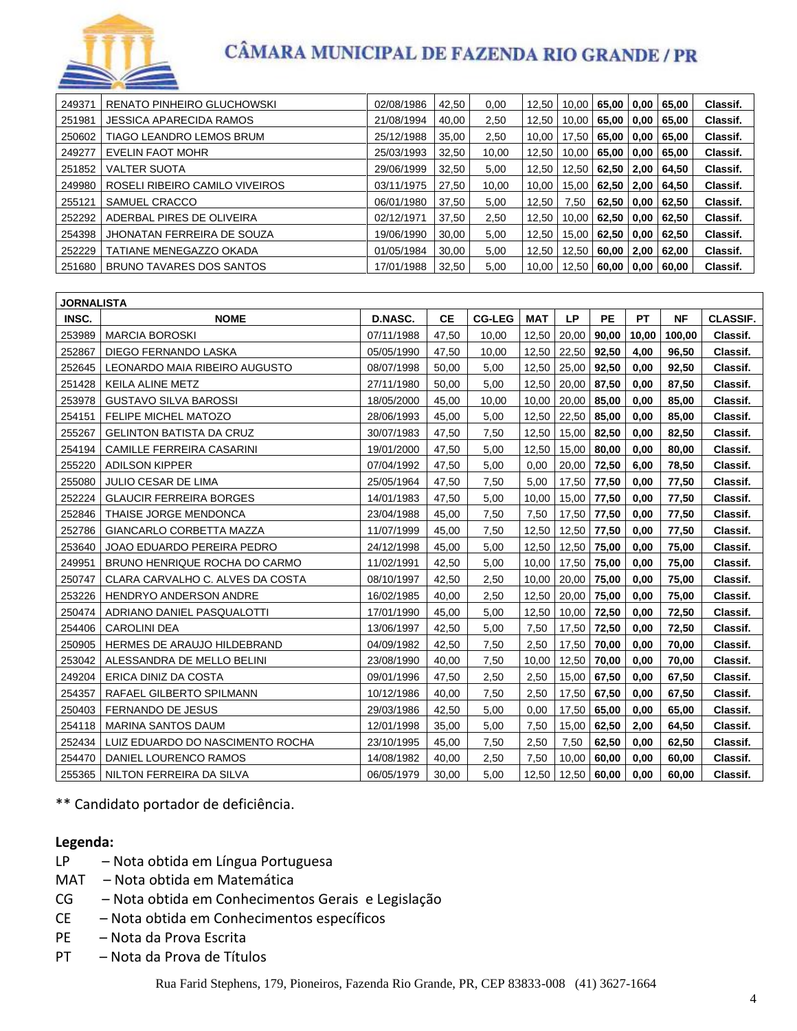

| 249371 | RENATO PINHEIRO GLUCHOWSKI      | 02/08/1986 | 42,50            | 0,00          | 12,50 | 10,00                 | 65,00        | 0,00         | 65,00  | Classif.        |  |
|--------|---------------------------------|------------|------------------|---------------|-------|-----------------------|--------------|--------------|--------|-----------------|--|
| 251981 | JESSICA APARECIDA RAMOS         | 21/08/1994 | 40,00            | 2,50          | 12,50 | 10,00                 | 65,00        | 0,00         | 65,00  | Classif.        |  |
| 250602 | TIAGO LEANDRO LEMOS BRUM        | 25/12/1988 | 35,00            | 2,50          | 10,00 | 17,50                 |              | 65,00 0.00   | 65,00  | Classif.        |  |
| 249277 | EVELIN FAOT MOHR                | 25/03/1993 | 32,50            | 10,00         | 12,50 | 10,00                 | 65,00        | 0,00         | 65,00  | Classif.        |  |
| 251852 | <b>VALTER SUOTA</b>             | 29/06/1999 | 32,50            | 5,00          | 12,50 | 12,50                 | 62,50        | 2,00         | 64,50  | Classif.        |  |
| 249980 | ROSELI RIBEIRO CAMILO VIVEIROS  | 03/11/1975 | 27,50            | 10,00         | 10,00 | 15,00                 | 62,50   2,00 |              | 64,50  | Classif.        |  |
| 255121 | SAMUEL CRACCO                   | 06/01/1980 | 37,50            | 5,00          | 12,50 | 7,50                  | 62,50        | 0,00         | 62,50  | Classif.        |  |
| 252292 | ADERBAL PIRES DE OLIVEIRA       | 02/12/1971 | 37,50            | 2,50          | 12,50 | 10,00                 | 62,50        | 0,00         | 62,50  | Classif.        |  |
| 254398 | JHONATAN FERREIRA DE SOUZA      | 19/06/1990 | 30.00            | 5,00          | 12,50 | 15,00                 |              | 62,50   0,00 | 62,50  | Classif.        |  |
| 252229 | TATIANE MENEGAZZO OKADA         | 01/05/1984 | 30,00            | 5,00          | 12,50 | 12,50                 | 60,00 l      | 2,00         | 62,00  | Classif.        |  |
| 251680 | BRUNO TAVARES DOS SANTOS        | 17/01/1988 | 32,50            | 5,00          | 10,00 | 12,50                 | 60,00   0,00 |              | 60,00  | Classif.        |  |
|        |                                 |            |                  |               |       |                       |              |              |        |                 |  |
|        | <b>JORNALISTA</b>               |            |                  |               |       |                       |              |              |        |                 |  |
| INSC.  | <b>NOME</b>                     | D.NASC.    | CЕ               | <b>CG-LEG</b> | MAT   | LP                    | <b>PE</b>    | <b>PT</b>    | NF     | <b>CLASSIF.</b> |  |
| 253989 | <b>MARCIA BOROSKI</b>           | 07/11/1988 | 47.50            | 10.00         | 12.50 | 20.00                 | 90.00        | 10.00        | 100.00 | Classif.        |  |
|        | $REORZ$ I DIECO EEDMANDO LASIZA | DE/AE/4000 | 17E <sub>0</sub> | 10.00         |       | 12.50   22.50   02.50 |              | $\lambda$ 00 | OC EO  | Clossif         |  |

| 253989 | <b>MARCIA BOROSKI</b>            | 07/11/1988 | 47.50 | 10.00 |       |               |             |      | 12,50   20,00   90,00   10,00   100,00 | Classif. |
|--------|----------------------------------|------------|-------|-------|-------|---------------|-------------|------|----------------------------------------|----------|
| 252867 | DIEGO FERNANDO LASKA             | 05/05/1990 | 47,50 | 10,00 | 12,50 | 22,50 92,50   |             | 4,00 | 96,50                                  | Classif. |
| 252645 | LEONARDO MAIA RIBEIRO AUGUSTO    | 08/07/1998 | 50,00 | 5,00  | 12,50 | 25,00 92,50   |             | 0,00 | 92,50                                  | Classif. |
| 251428 | <b>KEILA ALINE METZ</b>          | 27/11/1980 | 50.00 | 5.00  | 12,50 | 20,00 87,50   |             | 0.00 | 87,50                                  | Classif. |
| 253978 | <b>GUSTAVO SILVA BAROSSI</b>     | 18/05/2000 | 45,00 | 10,00 | 10,00 | $20,00$ 85,00 |             | 0,00 | 85,00                                  | Classif. |
| 254151 | <b>FELIPE MICHEL MATOZO</b>      | 28/06/1993 | 45,00 | 5,00  | 12,50 | 22,50 85,00   |             | 0.00 | 85,00                                  | Classif. |
| 255267 | <b>GELINTON BATISTA DA CRUZ</b>  | 30/07/1983 | 47,50 | 7,50  | 12,50 | 15,00 82,50   |             | 0.00 | 82,50                                  | Classif. |
| 254194 | CAMILLE FERREIRA CASARINI        | 19/01/2000 | 47,50 | 5,00  | 12,50 | 15,00 80,00   |             | 0,00 | 80,00                                  | Classif. |
| 255220 | <b>ADILSON KIPPER</b>            | 07/04/1992 | 47,50 | 5,00  | 0,00  | 20,00 72,50   |             | 6,00 | 78,50                                  | Classif. |
| 255080 | <b>JULIO CESAR DE LIMA</b>       | 25/05/1964 | 47,50 | 7,50  | 5,00  | 17,50 77,50   |             | 0,00 | 77,50                                  | Classif. |
| 252224 | <b>GLAUCIR FERREIRA BORGES</b>   | 14/01/1983 | 47,50 | 5,00  | 10,00 | 15,00 77,50   |             | 0,00 | 77,50                                  | Classif. |
| 252846 | THAISE JORGE MENDONCA            | 23/04/1988 | 45,00 | 7,50  | 7,50  | 17,50 77,50   |             | 0,00 | 77,50                                  | Classif. |
| 252786 | GIANCARLO CORBETTA MAZZA         | 11/07/1999 | 45,00 | 7,50  | 12,50 | 12,50 77,50   |             | 0,00 | 77,50                                  | Classif. |
| 253640 | JOAO EDUARDO PEREIRA PEDRO       | 24/12/1998 | 45,00 | 5,00  | 12,50 | 12,50 75,00   |             | 0,00 | 75,00                                  | Classif. |
| 249951 | BRUNO HENRIQUE ROCHA DO CARMO    | 11/02/1991 | 42,50 | 5,00  | 10,00 | 17,50 75,00   |             | 0,00 | 75,00                                  | Classif. |
| 250747 | CLARA CARVALHO C. ALVES DA COSTA | 08/10/1997 | 42,50 | 2,50  | 10,00 | 20,00 75,00   |             | 0,00 | 75,00                                  | Classif. |
| 253226 | <b>HENDRYO ANDERSON ANDRE</b>    | 16/02/1985 | 40,00 | 2,50  | 12,50 | 20,00 75,00   |             | 0,00 | 75,00                                  | Classif. |
| 250474 | ADRIANO DANIEL PASQUALOTTI       | 17/01/1990 | 45,00 | 5,00  | 12,50 | 10,00 72,50   |             | 0,00 | 72,50                                  | Classif. |
| 254406 | <b>CAROLINI DEA</b>              | 13/06/1997 | 42,50 | 5,00  | 7,50  | 17,50 72,50   |             | 0,00 | 72,50                                  | Classif. |
| 250905 | HERMES DE ARAUJO HILDEBRAND      | 04/09/1982 | 42,50 | 7,50  | 2,50  | 17,50 70,00   |             | 0.00 | 70,00                                  | Classif. |
| 253042 | ALESSANDRA DE MELLO BELINI       | 23/08/1990 | 40,00 | 7,50  | 10,00 | 12,50         | 70,00       | 0,00 | 70,00                                  | Classif. |
| 249204 | ERICA DINIZ DA COSTA             | 09/01/1996 | 47,50 | 2,50  | 2,50  | 15,00 67,50   |             | 0.00 | 67,50                                  | Classif. |
| 254357 | RAFAEL GILBERTO SPILMANN         | 10/12/1986 | 40,00 | 7,50  | 2,50  | 17,50 67,50   |             | 0,00 | 67,50                                  | Classif. |
| 250403 | FERNANDO DE JESUS                | 29/03/1986 | 42,50 | 5,00  | 0,00  |               | 17,50 65,00 | 0,00 | 65,00                                  | Classif. |
| 254118 | <b>MARINA SANTOS DAUM</b>        | 12/01/1998 | 35,00 | 5,00  | 7,50  | 15,00         | 62,50       | 2,00 | 64,50                                  | Classif. |
| 252434 | LUIZ EDUARDO DO NASCIMENTO ROCHA | 23/10/1995 | 45,00 | 7,50  | 2,50  | 7,50          | 62,50       | 0,00 | 62,50                                  | Classif. |
| 254470 | DANIEL LOURENCO RAMOS            | 14/08/1982 | 40,00 | 2,50  | 7,50  | 10,00         | 60,00       | 0,00 | 60,00                                  | Classif. |
| 255365 | NILTON FERREIRA DA SILVA         | 06/05/1979 | 30,00 | 5,00  | 12.50 | 12,50 60,00   |             | 0.00 | 60,00                                  | Classif. |

\*\* Candidato portador de deficiência.

#### **Legenda:**

- LP Nota obtida em Língua Portuguesa
- MAT Nota obtida em Matemática
- CG Nota obtida em Conhecimentos Gerais e Legislação
- CE Nota obtida em Conhecimentos específicos
- PE Nota da Prova Escrita
- PT Nota da Prova de Títulos